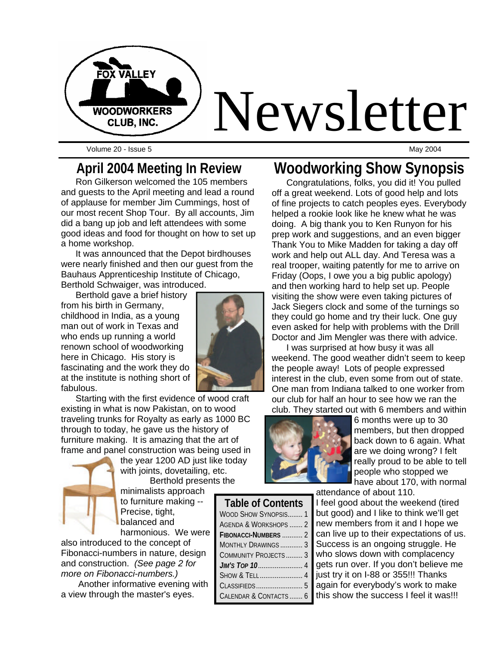

Volume 20 - Issue 5 May 2004

#### **April 2004 Meeting In Review**

Ron Gilkerson welcomed the 105 members and guests to the April meeting and lead a round of applause for member Jim Cummings, host of our most recent Shop Tour. By all accounts, Jim did a bang up job and left attendees with some good ideas and food for thought on how to set up a home workshop.

It was announced that the Depot birdhouses were nearly finished and then our guest from the Bauhaus Apprenticeship Institute of Chicago, Berthold Schwaiger, was introduced.

Berthold gave a brief history from his birth in Germany, childhood in India, as a young man out of work in Texas and who ends up running a world renown school of woodworking here in Chicago. His story is fascinating and the work they do at the institute is nothing short of fabulous.



Starting with the first evidence of wood craft existing in what is now Pakistan, on to wood traveling trunks for Royalty as early as 1000 BC through to today, he gave us the history of furniture making. It is amazing that the art of frame and panel construction was being used in



the year 1200 AD just like today with joints, dovetailing, etc. Berthold presents the

minimalists approach to furniture making -- Precise, tight, balanced and

harmonious. We were also introduced to the concept of Fibonacci-numbers in nature, design and construction. *(See page 2 for more on Fibonacci-numbers.)*

Another informative evening with a view through the master's eyes.

# **Woodworking Show Synopsis**

Congratulations, folks, you did it! You pulled off a great weekend. Lots of good help and lots of fine projects to catch peoples eyes. Everybody helped a rookie look like he knew what he was doing. A big thank you to Ken Runyon for his prep work and suggestions, and an even bigger Thank You to Mike Madden for taking a day off work and help out ALL day. And Teresa was a real trooper, waiting patently for me to arrive on Friday (Oops, I owe you a big public apology) and then working hard to help set up. People visiting the show were even taking pictures of Jack Siegers clock and some of the turnings so they could go home and try their luck. One guy even asked for help with problems with the Drill Doctor and Jim Mengler was there with advice.

I was surprised at how busy it was all weekend. The good weather didn't seem to keep the people away! Lots of people expressed interest in the club, even some from out of state. One man from Indiana talked to one worker from our club for half an hour to see how we ran the club. They started out with 6 members and within



**Table of Contents** WOOD SHOW SYNOPSIS........ 1 AGENDA & WORKSHOPS ....... 2 **FIBONACCI-NUMBERS** ........... 2 MONTHLY DRAWINGS ............ 3 COMMUNITY PROJECTS......... 3 *JIM'S TOP 10*........................ 4 SHOW & TELL ....................... 4 CLASSIFIEDS......................... CALENDAR & CONTACTS ....... 6 6 months were up to 30 members, but then dropped back down to 6 again. What are we doing wrong? I felt really proud to be able to tell people who stopped we have about 170, with normal

attendance of about 110.

I feel good about the weekend (tired but good) and I like to think we'll get new members from it and I hope we can live up to their expectations of us. Success is an ongoing struggle. He who slows down with complacency gets run over. If you don't believe me just try it on I-88 or 355!!! Thanks again for everybody's work to make this show the success I feel it was!!!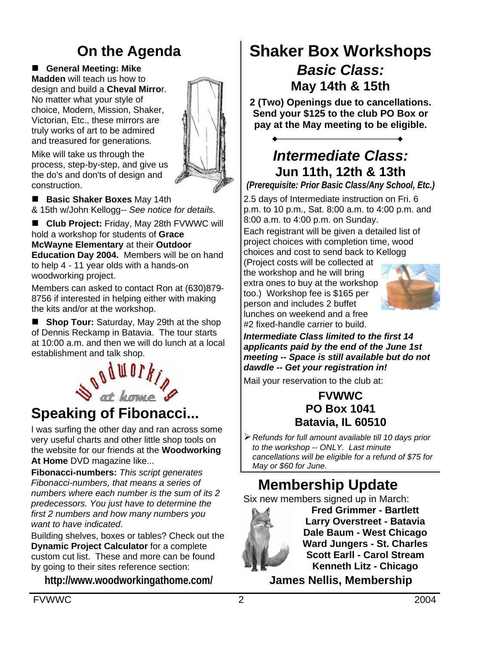# **On the Agenda**

■ General Meeting: Mike **Madden** will teach us how to design and build a **Cheval Mirro**r. No matter what your style of choice, Modern, Mission, Shaker, Victorian, Etc., these mirrors are truly works of art to be admired and treasured for generations.

Mike will take us through the process, step-by-step, and give us the do's and don'ts of design and construction.



**E** Basic Shaker Boxes May 14th & 15th w/John Kellogg-- *See notice for details.*

■ Club Project: Friday, May 28th FVWWC will hold a workshop for students of **Grace McWayne Elementary** at their **Outdoor Education Day 2004.** Members will be on hand to help 4 - 11 year olds with a hands-on woodworking project.

Members can asked to contact Ron at (630)879- 8756 if interested in helping either with making the kits and/or at the workshop.

■ **Shop Tour:** Saturday, May 29th at the shop of Dennis Reckamp in Batavia. The tour starts at 10:00 a.m. and then we will do lunch at a local establishment and talk shop.



#### **Speaking of Fibonacci...**

I was surfing the other day and ran across some very useful charts and other little shop tools on the website for our friends at the **Woodworking At Home** DVD magazine like...

**Fibonacci-numbers:** *This script generates Fibonacci-numbers, that means a series of numbers where each number is the sum of its 2 predecessors. You just have to determine the first 2 numbers and how many numbers you want to have indicated*.

Building shelves, boxes or tables? Check out the **Dynamic Project Calculator** for a complete custom cut list. These and more can be found by going to their sites reference section:

**http://www.woodworkingathome.com/**

#### **Shaker Box Workshops** *Basic Class:* **May 14th & 15th**

**2 (Two) Openings due to cancellations. Send your \$125 to the club PO Box or pay at the May meeting to be eligible.**

#### *Intermediate Class:* **Jun 11th, 12th & 13th**

*(Prerequisite: Prior Basic Class/Any School, Etc.)*

2.5 days of Intermediate instruction on Fri. 6 p.m. to 10 p.m., Sat. 8:00 a.m. to 4:00 p.m. and 8:00 a.m. to 4:00 p.m. on Sunday.

Each registrant will be given a detailed list of project choices with completion time, wood choices and cost to send back to Kellogg

(Project costs will be collected at the workshop and he will bring extra ones to buy at the workshop too.) Workshop fee is \$165 per person and includes 2 buffet lunches on weekend and a free #2 fixed-handle carrier to build.



*Intermediate Class limited to the first 14 applicants paid by the end of the June 1st meeting -- Space is still available but do not dawdle -- Get your registration in!*

Mail your reservation to the club at:

#### **FVWWC PO Box 1041 Batavia, IL 60510**

ÿ*Refunds for full amount available till 10 days prior to the workshop -- ONLY. Last minute cancellations will be eligible for a refund of \$75 for May or \$60 for June.*

### **Membership Update**

Six new members signed up in March:



**Fred Grimmer - Bartlett Larry Overstreet - Batavia Dale Baum - West Chicago Ward Jungers - St. Charles Scott Earll - Carol Stream Kenneth Litz - Chicago**

**James Nellis, Membership**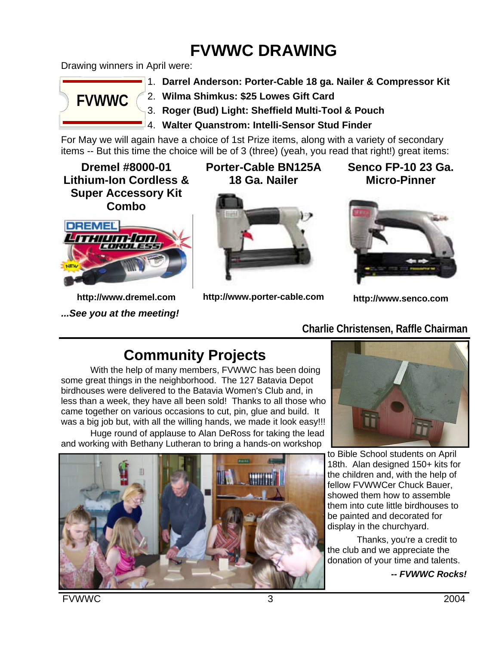# **FVWWC DRAWING**

Drawing winners in April were:



- 1. **Darrel Anderson: Porter-Cable 18 ga. Nailer & Compressor Kit**
- 2. **Wilma Shimkus: \$25 Lowes Gift Card**
- 3. **Roger (Bud) Light: Sheffield Multi-Tool & Pouch**
- 4. **Walter Quanstrom: Intelli-Sensor Stud Finder**

For May we will again have a choice of 1st Prize items, along with a variety of secondary items -- But this time the choice will be of 3 (three) (yeah, you read that right!) great items:

**Dremel #8000-01 Lithium-Ion Cordless & Super Accessory Kit Combo**



**http://www.dremel.com** *...See you at the meeting!* **Porter-Cable BN125A 18 Ga. Nailer**



**http://www.porter-cable.com**

**Senco FP-10 23 Ga. Micro-Pinner**



**http://www.senco.com**

#### **Charlie Christensen, Raffle Chairman**

### **Community Projects**

With the help of many members, FVWWC has been doing some great things in the neighborhood. The 127 Batavia Depot birdhouses were delivered to the Batavia Women's Club and, in less than a week, they have all been sold! Thanks to all those who came together on various occasions to cut, pin, glue and build. It was a big job but, with all the willing hands, we made it look easy!!!

Huge round of applause to Alan DeRoss for taking the lead and working with Bethany Lutheran to bring a hands-on workshop





to Bible School students on April 18th. Alan designed 150+ kits for the children and, with the help of fellow FVWWCer Chuck Bauer, showed them how to assemble them into cute little birdhouses to be painted and decorated for display in the churchyard.

Thanks, you're a credit to the club and we appreciate the donation of your time and talents.

*-- FVWWC Rocks!*

FVWWC 3 2004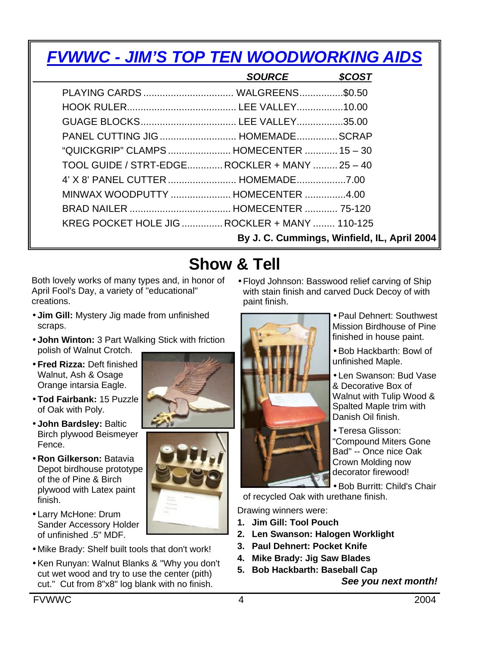| <b>FVWWC - JIM'S TOP TEN WOODWORKING AIDS</b>  |               |               |
|------------------------------------------------|---------------|---------------|
|                                                | <b>SOURCE</b> | <b>\$COST</b> |
|                                                |               |               |
|                                                |               |               |
|                                                |               |               |
| PANEL CUTTING JIG  HOMEMADE  SCRAP             |               |               |
| "QUICKGRIP" CLAMPS  HOMECENTER  15 - 30        |               |               |
| TOOL GUIDE / STRT-EDGE ROCKLER + MANY  25 - 40 |               |               |
|                                                |               |               |
| MINWAX WOODPUTTY  HOMECENTER 4.00              |               |               |
|                                                |               |               |
| KREG POCKET HOLE JIG  ROCKLER + MANY  110-125  |               |               |
| By J. C. Cummings, Winfield, IL, April 2004    |               |               |

# **Show & Tell**

Both lovely works of many types and, in honor of April Fool's Day, a variety of "educational" creations.

- **Jim Gill:** Mystery Jig made from unfinished scraps.
- **John Winton:** 3 Part Walking Stick with friction polish of Walnut Crotch.
- **Fred Rizza:** Deft finished Walnut, Ash & Osage Orange intarsia Eagle.
- **Tod Fairbank:** 15 Puzzle of Oak with Poly.
- **John Bardsley:** Baltic Birch plywood Beismeyer Fence.
- **Ron Gilkerson:** Batavia Depot birdhouse prototype of the of Pine & Birch plywood with Latex paint finish.
- Larry McHone: Drum Sander Accessory Holder of unfinished .5" MDF.
- Mike Brady: Shelf built tools that don't work!
- Ken Runyan: Walnut Blanks & "Why you don't cut wet wood and try to use the center (pith) cut." Cut from 8"x8" log blank with no finish.

• Floyd Johnson: Basswood relief carving of Ship with stain finish and carved Duck Decoy of with paint finish.



- Paul Dehnert: Southwest Mission Birdhouse of Pine finished in house paint.
- Bob Hackbarth: Bowl of unfinished Maple.
- Len Swanson: Bud Vase & Decorative Box of Walnut with Tulip Wood & Spalted Maple trim with Danish Oil finish.
- Teresa Glisson: "Compound Miters Gone Bad" -- Once nice Oak Crown Molding now decorator firewood!

• Bob Burritt: Child's Chair

of recycled Oak with urethane finish.

Drawing winners were:

- **1. Jim Gill: Tool Pouch**
- **2. Len Swanson: Halogen Worklight**
- **3. Paul Dehnert: Pocket Knife**
- **4. Mike Brady: Jig Saw Blades**
- **5. Bob Hackbarth: Baseball Cap**

*See you next month!*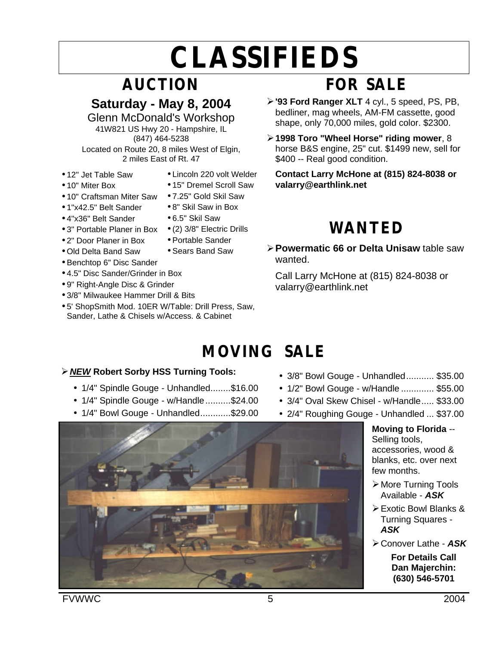# **CLASSIFIEDS**

# **AUCTION**

#### **Saturday - May 8, 2004**

Glenn McDonald's Workshop 41W821 US Hwy 20 - Hampshire, IL (847) 464-5238

Located on Route 20, 8 miles West of Elgin, 2 miles East of Rt. 47

- 12" Jet Table Saw
- 10" Miter Box
- 10" Craftsman Miter Saw
- 1"x42.5" Belt Sander
- 4"x36" Belt Sander
- 3" Portable Planer in Box (2) 3/8" Electric Drills
- 2" Door Planer in Box
- Old Delta Band Saw
- Benchtop 6" Disc Sander
- 4.5" Disc Sander/Grinder in Box
- 9" Right-Angle Disc & Grinder
- 3/8" Milwaukee Hammer Drill & Bits
- 5' ShopSmith Mod. 10ER W/Table: Drill Press, Saw, Sander, Lathe & Chisels w/Access. & Cabinet
- Lincoln 220 volt Welder
- 15" Dremel Scroll Saw
- 7.25" Gold Skil Saw
- 8" Skil Saw in Box
- 6.5" Skil Saw
- 
- Portable Sander
- Sears Band Saw

# **WANTED**

ÿ**Powermatic 66 or Delta Unisaw** table saw wanted.

**Contact Larry McHone at (815) 824-8038 or** 

**FOR SALE**

ÿ**'93 Ford Ranger XLT** 4 cyl., 5 speed, PS, PB, bedliner, mag wheels, AM-FM cassette, good shape, only 70,000 miles, gold color. \$2300. ÿ**1998 Toro "Wheel Horse" riding mower**, 8 horse B&S engine, 25" cut. \$1499 new, sell for

Call Larry McHone at (815) 824-8038 or valarry@earthlink.net

# **MOVING SALE**

#### ÿ*NEW* **Robert Sorby HSS Turning Tools:**

- 1/4" Spindle Gouge Unhandled........\$16.00
- 1/4" Spindle Gouge w/Handle..........\$24.00
- 1/4" Bowl Gouge Unhandled............\$29.00
- 3/8" Bowl Gouge Unhandled........... \$35.00
- 1/2" Bowl Gouge w/Handle ............. \$55.00
- 3/4" Oval Skew Chisel w/Handle..... \$33.00
- 2/4" Roughing Gouge Unhandled ... \$37.00

**Moving to Florida** -- Selling tools, accessories, wood & blanks, etc. over next few months.

- **≻ More Turning Tools** Available - *ASK*
- ÿExotic Bowl Blanks & Turning Squares - *ASK*
- ÿConover Lathe *ASK*

**For Details Call Dan Majerchin: (630) 546-5701**

FVWWC 5 2004



\$400 -- Real good condition.

**valarry@earthlink.net**